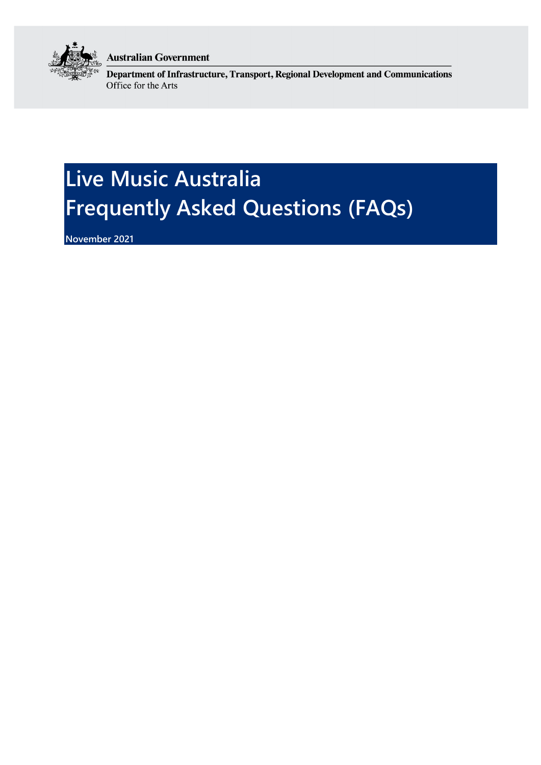

**Australian Government** 

Department of Infrastructure, Transport, Regional Development and Communications Office for the Arts

# **Live Music Australia Frequently Asked Questions (FAQs)**

**November 2021**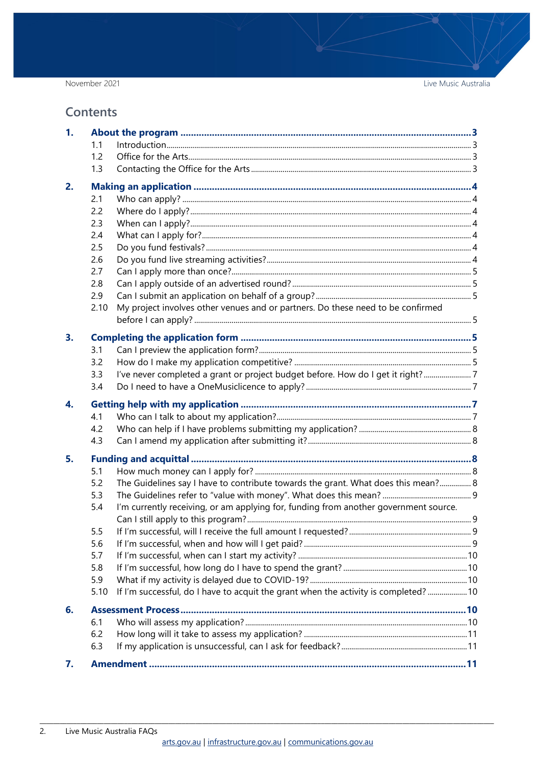November 2021

Live Music Australia

#### **Contents**

| 1. |      |                                                                                      |  |
|----|------|--------------------------------------------------------------------------------------|--|
|    | 1.1  |                                                                                      |  |
|    | 1.2  |                                                                                      |  |
|    | 1.3  |                                                                                      |  |
| 2. |      |                                                                                      |  |
|    | 2.1  |                                                                                      |  |
|    | 2.2  |                                                                                      |  |
|    | 2.3  |                                                                                      |  |
|    | 2.4  |                                                                                      |  |
|    | 2.5  |                                                                                      |  |
|    | 2.6  |                                                                                      |  |
|    | 2.7  |                                                                                      |  |
|    | 2.8  |                                                                                      |  |
|    | 2.9  |                                                                                      |  |
|    | 2.10 | My project involves other venues and or partners. Do these need to be confirmed      |  |
|    |      |                                                                                      |  |
| 3. |      |                                                                                      |  |
|    | 3.1  |                                                                                      |  |
|    | 3.2  |                                                                                      |  |
|    | 3.3  | I've never completed a grant or project budget before. How do I get it right?7       |  |
|    | 3.4  |                                                                                      |  |
| 4. |      |                                                                                      |  |
|    | 4.1  |                                                                                      |  |
|    | 4.2  |                                                                                      |  |
|    | 4.3  |                                                                                      |  |
| 5. |      |                                                                                      |  |
|    | 5.1  |                                                                                      |  |
|    | 5.2  | The Guidelines say I have to contribute towards the grant. What does this mean? 8    |  |
|    | 5.3  |                                                                                      |  |
|    | 5.4  | I'm currently receiving, or am applying for, funding from another government source. |  |
|    |      |                                                                                      |  |
|    | 5.5  |                                                                                      |  |
|    | 5.6  |                                                                                      |  |
|    |      |                                                                                      |  |
|    | 5.7  |                                                                                      |  |
|    | 5.8  |                                                                                      |  |
|    | 5.9  |                                                                                      |  |
|    | 5.10 | If I'm successful, do I have to acquit the grant when the activity is completed?  10 |  |
| 6. |      |                                                                                      |  |
|    | 6.1  |                                                                                      |  |
|    | 6.2  |                                                                                      |  |
|    | 6.3  |                                                                                      |  |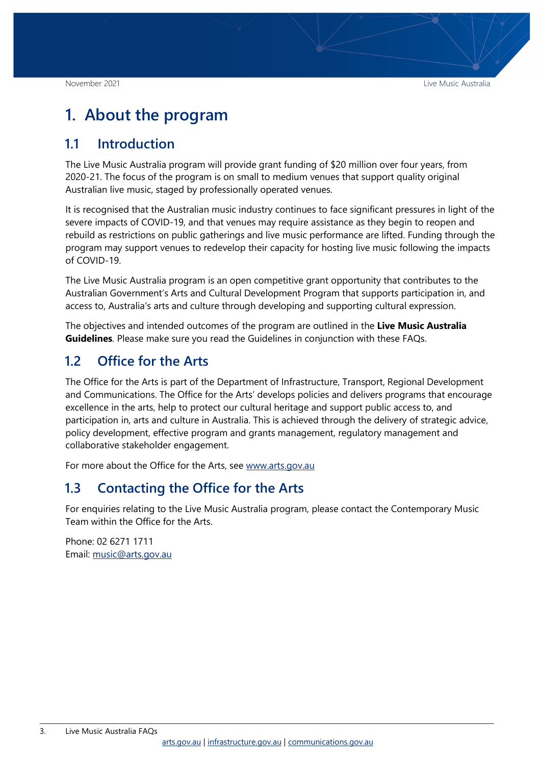# <span id="page-2-0"></span>**1. About the program**

#### <span id="page-2-1"></span>**1.1 Introduction**

The Live Music Australia program will provide grant funding of \$20 million over four years, from 2020-21. The focus of the program is on small to medium venues that support quality original Australian live music, staged by professionally operated venues.

It is recognised that the Australian music industry continues to face significant pressures in light of the severe impacts of COVID-19, and that venues may require assistance as they begin to reopen and rebuild as restrictions on public gatherings and live music performance are lifted. Funding through the program may support venues to redevelop their capacity for hosting live music following the impacts of COVID-19.

The Live Music Australia program is an open competitive grant opportunity that contributes to the Australian Government's Arts and Cultural Development Program that supports participation in, and access to, Australia's arts and culture through developing and supporting cultural expression.

The objectives and intended outcomes of the program are outlined in the **Live Music Australia Guidelines**. Please make sure you read the Guidelines in conjunction with these FAQs.

#### <span id="page-2-2"></span>**1.2 Office for the Arts**

The Office for the Arts is part of the Department of Infrastructure, Transport, Regional Development and Communications. The Office for the Arts' develops policies and delivers programs that encourage excellence in the arts, help to protect our cultural heritage and support public access to, and participation in, arts and culture in Australia. This is achieved through the delivery of strategic advice, policy development, effective program and grants management, regulatory management and collaborative stakeholder engagement.

For more about the Office for the Arts, see [www.arts.gov.au](http://www.arts.gov.au/)

#### <span id="page-2-3"></span>**1.3 Contacting the Office for the Arts**

For enquiries relating to the Live Music Australia program, please contact the Contemporary Music Team within the Office for the Arts.

Phone: 02 6271 1711 Email: [music@arts.gov.au](mailto:music@arts.gov.au)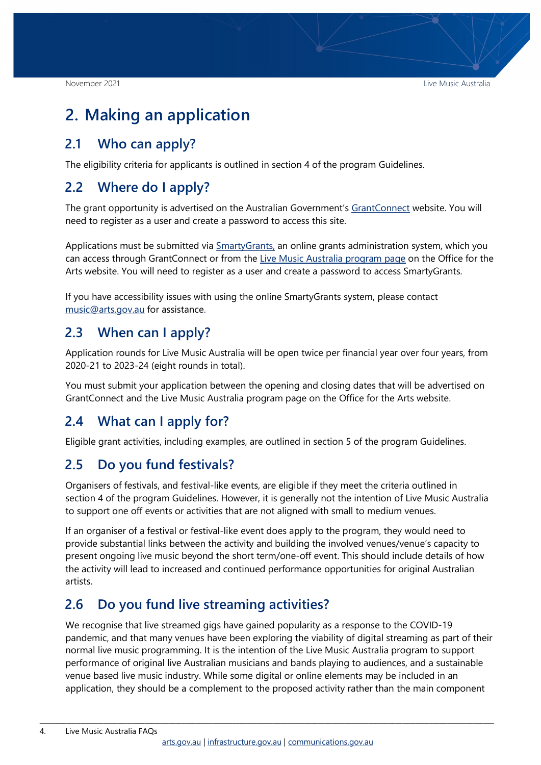# <span id="page-3-0"></span>**2. Making an application**

#### <span id="page-3-1"></span>**2.1 Who can apply?**

The eligibility criteria for applicants is outlined in section 4 of the program Guidelines.

### <span id="page-3-2"></span>**2.2 Where do I apply?**

The grant opportunity is advertised on the Australian Government's [GrantConnect](http://www.grants.gov.au/) website. You will need to register as a user and create a password to access this site.

Applications must be submitted via **SmartyGrants**, an online grants administration system, which you can access through GrantConnect or from the [Live Music Australia program page](http://www.arts.gov.au/funding-and-support/live-music-australia) on the Office for the Arts website. You will need to register as a user and create a password to access SmartyGrants.

If you have accessibility issues with using the online SmartyGrants system, please contact [music@arts.gov.au](mailto:music@arts.gov.au) for assistance.

#### <span id="page-3-3"></span>**2.3 When can I apply?**

Application rounds for Live Music Australia will be open twice per financial year over four years, from 2020-21 to 2023-24 (eight rounds in total).

You must submit your application between the opening and closing dates that will be advertised on GrantConnect and the Live Music Australia program page on the Office for the Arts website.

#### <span id="page-3-4"></span>**2.4 What can I apply for?**

Eligible grant activities, including examples, are outlined in section 5 of the program Guidelines.

#### <span id="page-3-5"></span>**2.5 Do you fund festivals?**

Organisers of festivals, and festival-like events, are eligible if they meet the criteria outlined in section 4 of the program Guidelines. However, it is generally not the intention of Live Music Australia to support one off events or activities that are not aligned with small to medium venues.

If an organiser of a festival or festival-like event does apply to the program, they would need to provide substantial links between the activity and building the involved venues/venue's capacity to present ongoing live music beyond the short term/one-off event. This should include details of how the activity will lead to increased and continued performance opportunities for original Australian artists.

# <span id="page-3-6"></span>**2.6 Do you fund live streaming activities?**

We recognise that live streamed gigs have gained popularity as a response to the COVID-19 pandemic, and that many venues have been exploring the viability of digital streaming as part of their normal live music programming. It is the intention of the Live Music Australia program to support performance of original live Australian musicians and bands playing to audiences, and a sustainable venue based live music industry. While some digital or online elements may be included in an application, they should be a complement to the proposed activity rather than the main component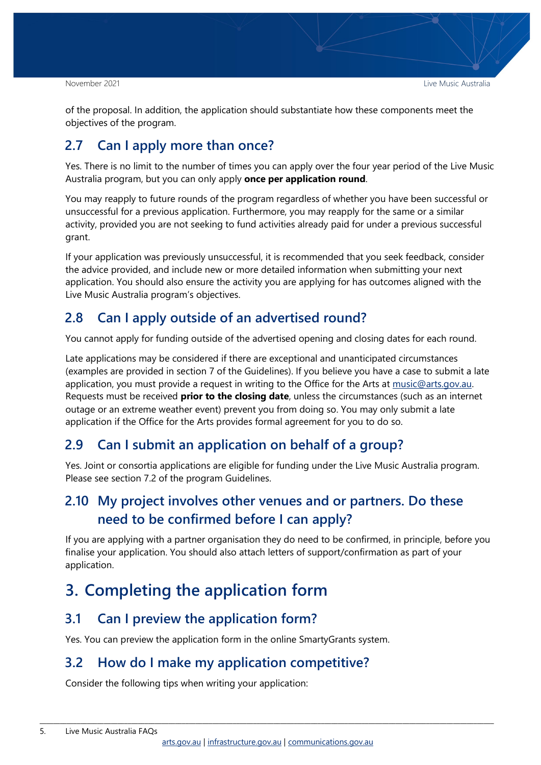of the proposal. In addition, the application should substantiate how these components meet the objectives of the program.

# <span id="page-4-0"></span>**2.7 Can I apply more than once?**

Yes. There is no limit to the number of times you can apply over the four year period of the Live Music Australia program, but you can only apply **once per application round**.

You may reapply to future rounds of the program regardless of whether you have been successful or unsuccessful for a previous application. Furthermore, you may reapply for the same or a similar activity, provided you are not seeking to fund activities already paid for under a previous successful grant.

If your application was previously unsuccessful, it is recommended that you seek feedback, consider the advice provided, and include new or more detailed information when submitting your next application. You should also ensure the activity you are applying for has outcomes aligned with the Live Music Australia program's objectives.

# <span id="page-4-1"></span>**2.8 Can I apply outside of an advertised round?**

You cannot apply for funding outside of the advertised opening and closing dates for each round.

Late applications may be considered if there are exceptional and unanticipated circumstances (examples are provided in section 7 of the Guidelines). If you believe you have a case to submit a late application, you must provide a request in writing to the Office for the Arts at [music@arts.gov.au.](mailto:music@arts.gov.au) Requests must be received **prior to the closing date**, unless the circumstances (such as an internet outage or an extreme weather event) prevent you from doing so. You may only submit a late application if the Office for the Arts provides formal agreement for you to do so.

# <span id="page-4-2"></span>**2.9 Can I submit an application on behalf of a group?**

Yes. Joint or consortia applications are eligible for funding under the Live Music Australia program. Please see section 7.2 of the program Guidelines.

# <span id="page-4-3"></span>**2.10 My project involves other venues and or partners. Do these need to be confirmed before I can apply?**

If you are applying with a partner organisation they do need to be confirmed, in principle, before you finalise your application. You should also attach letters of support/confirmation as part of your application.

# <span id="page-4-4"></span>**3. Completing the application form**

# <span id="page-4-5"></span>**3.1 Can I preview the application form?**

Yes. You can preview the application form in the online SmartyGrants system.

# <span id="page-4-6"></span>**3.2 How do I make my application competitive?**

Consider the following tips when writing your application: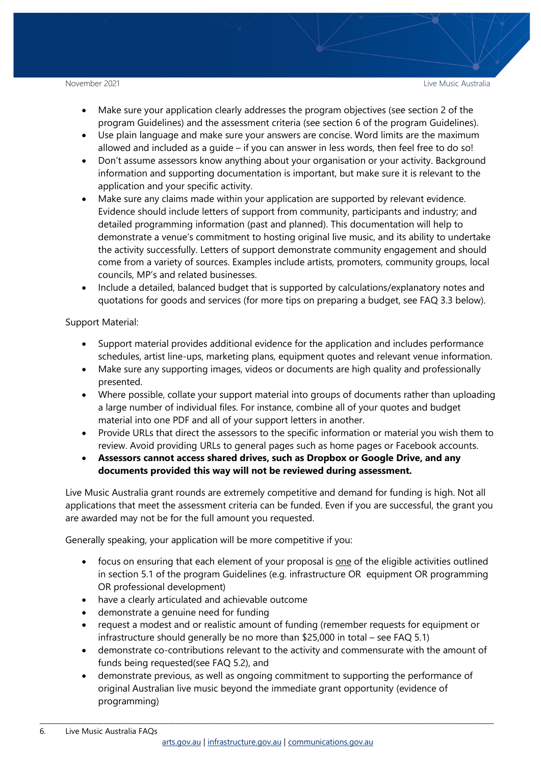- Make sure your application clearly addresses the program objectives (see section 2 of the program Guidelines) and the assessment criteria (see section 6 of the program Guidelines).
- Use plain language and make sure your answers are concise. Word limits are the maximum allowed and included as a guide – if you can answer in less words, then feel free to do so!
- Don't assume assessors know anything about your organisation or your activity. Background information and supporting documentation is important, but make sure it is relevant to the application and your specific activity.
- Make sure any claims made within your application are supported by relevant evidence. Evidence should include letters of support from community, participants and industry; and detailed programming information (past and planned). This documentation will help to demonstrate a venue's commitment to hosting original live music, and its ability to undertake the activity successfully. Letters of support demonstrate community engagement and should come from a variety of sources. Examples include artists, promoters, community groups, local councils, MP's and related businesses.
- Include a detailed, balanced budget that is supported by calculations/explanatory notes and quotations for goods and services (for more tips on preparing a budget, see FAQ 3.3 below).

Support Material:

- Support material provides additional evidence for the application and includes performance schedules, artist line-ups, marketing plans, equipment quotes and relevant venue information.
- Make sure any supporting images, videos or documents are high quality and professionally presented.
- Where possible, collate your support material into groups of documents rather than uploading a large number of individual files. For instance, combine all of your quotes and budget material into one PDF and all of your support letters in another.
- Provide URLs that direct the assessors to the specific information or material you wish them to review. Avoid providing URLs to general pages such as home pages or Facebook accounts.
- **Assessors cannot access shared drives, such as Dropbox or Google Drive, and any documents provided this way will not be reviewed during assessment.**

Live Music Australia grant rounds are extremely competitive and demand for funding is high. Not all applications that meet the assessment criteria can be funded. Even if you are successful, the grant you are awarded may not be for the full amount you requested.

Generally speaking, your application will be more competitive if you:

- focus on ensuring that each element of your proposal is one of the eligible activities outlined in section 5.1 of the program Guidelines (e.g. infrastructure OR equipment OR programming OR professional development)
- have a clearly articulated and achievable outcome
- demonstrate a genuine need for funding
- request a modest and or realistic amount of funding (remember requests for equipment or infrastructure should generally be no more than \$25,000 in total – see FAQ 5.1)
- demonstrate co-contributions relevant to the activity and commensurate with the amount of funds being requested(see FAQ 5.2), and
- demonstrate previous, as well as ongoing commitment to supporting the performance of original Australian live music beyond the immediate grant opportunity (evidence of programming)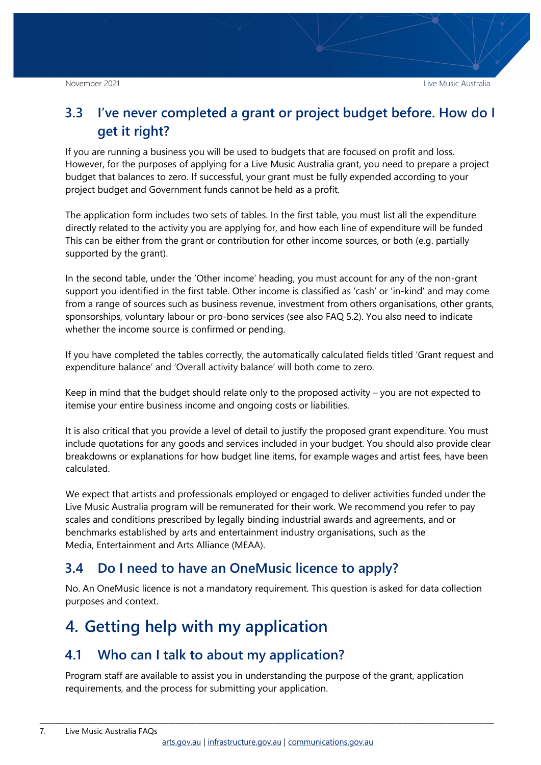### <span id="page-6-0"></span>**3.3 I've never completed a grant or project budget before. How do I get it right?**

If you are running a business you will be used to budgets that are focused on profit and loss. However, for the purposes of applying for a Live Music Australia grant, you need to prepare a project budget that balances to zero. If successful, your grant must be fully expended according to your project budget and Government funds cannot be held as a profit.

The application form includes two sets of tables. In the first table, you must list all the expenditure directly related to the activity you are applying for, and how each line of expenditure will be funded This can be either from the grant or contribution for other income sources, or both (e.g. partially supported by the grant).

In the second table, under the 'Other income' heading, you must account for any of the non-grant support you identified in the first table. Other income is classified as 'cash' or 'in-kind' and may come from a range of sources such as business revenue, investment from others organisations, other grants, sponsorships, voluntary labour or pro-bono services (see also FAQ 5.2). You also need to indicate whether the income source is confirmed or pending.

If you have completed the tables correctly, the automatically calculated fields titled 'Grant request and expenditure balance' and 'Overall activity balance' will both come to zero.

Keep in mind that the budget should relate only to the proposed activity – you are not expected to itemise your entire business income and ongoing costs or liabilities.

It is also critical that you provide a level of detail to justify the proposed grant expenditure. You must include quotations for any goods and services included in your budget. You should also provide clear breakdowns or explanations for how budget line items, for example wages and artist fees, have been calculated.

We expect that artists and professionals employed or engaged to deliver activities funded under the Live Music Australia program will be remunerated for their work. We recommend you refer to pay scales and conditions prescribed by legally binding industrial awards and agreements, and or benchmarks established by arts and entertainment industry organisations, such as the Media, Entertainment and Arts Alliance (MEAA).

#### <span id="page-6-1"></span>**3.4 Do I need to have an OneMusic licence to apply?**

No. An OneMusic licence is not a mandatory requirement. This question is asked for data collection purposes and context.

# <span id="page-6-2"></span>**4. Getting help with my application**

#### <span id="page-6-3"></span>**4.1 Who can I talk to about my application?**

Program staff are available to assist you in understanding the purpose of the grant, application requirements, and the process for submitting your application.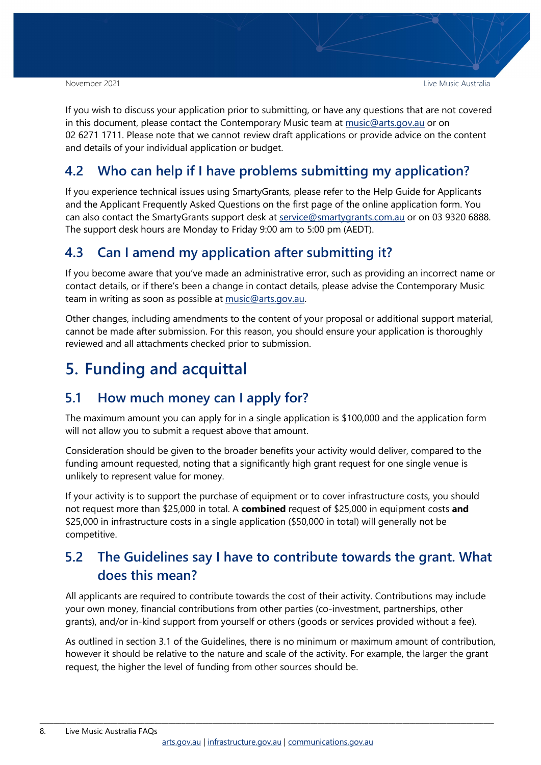If you wish to discuss your application prior to submitting, or have any questions that are not covered in this document, please contact the Contemporary Music team at  $music@arts.gov.au$  or on 02 6271 1711. Please note that we cannot review draft applications or provide advice on the content and details of your individual application or budget.

### <span id="page-7-0"></span>**4.2 Who can help if I have problems submitting my application?**

If you experience technical issues using SmartyGrants, please refer to the Help Guide for Applicants and the Applicant Frequently Asked Questions on the first page of the online application form. You can also contact the SmartyGrants support desk at [service@smartygrants.com.au](mailto:service@smartygrants.com.au) or on 03 9320 6888. The support desk hours are Monday to Friday 9:00 am to 5:00 pm (AEDT).

#### <span id="page-7-1"></span>**4.3 Can I amend my application after submitting it?**

If you become aware that you've made an administrative error, such as providing an incorrect name or contact details, or if there's been a change in contact details, please advise the Contemporary Music team in writing as soon as possible at [music@arts.gov.au.](mailto:music@arts.gov.au)

Other changes, including amendments to the content of your proposal or additional support material, cannot be made after submission. For this reason, you should ensure your application is thoroughly reviewed and all attachments checked prior to submission.

# <span id="page-7-2"></span>**5. Funding and acquittal**

#### <span id="page-7-3"></span>**5.1 How much money can I apply for?**

The maximum amount you can apply for in a single application is \$100,000 and the application form will not allow you to submit a request above that amount.

Consideration should be given to the broader benefits your activity would deliver, compared to the funding amount requested, noting that a significantly high grant request for one single venue is unlikely to represent value for money.

If your activity is to support the purchase of equipment or to cover infrastructure costs, you should not request more than \$25,000 in total. A **combined** request of \$25,000 in equipment costs **and** \$25,000 in infrastructure costs in a single application (\$50,000 in total) will generally not be competitive.

### <span id="page-7-4"></span>**5.2 The Guidelines say I have to contribute towards the grant. What does this mean?**

All applicants are required to contribute towards the cost of their activity. Contributions may include your own money, financial contributions from other parties (co-investment, partnerships, other grants), and/or in-kind support from yourself or others (goods or services provided without a fee).

As outlined in section 3.1 of the Guidelines, there is no minimum or maximum amount of contribution, however it should be relative to the nature and scale of the activity. For example, the larger the grant request, the higher the level of funding from other sources should be.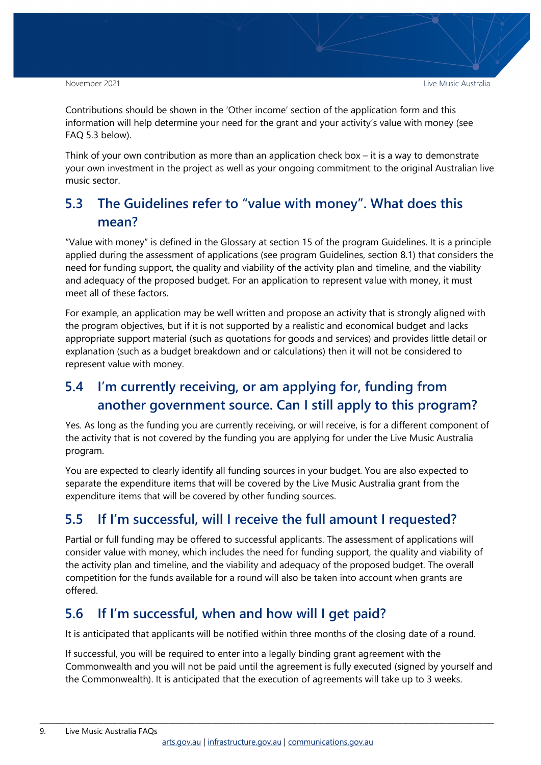November 2021 Live Music Australia

Contributions should be shown in the 'Other income' section of the application form and this information will help determine your need for the grant and your activity's value with money (see FAQ 5.3 below).

Think of your own contribution as more than an application check box – it is a way to demonstrate your own investment in the project as well as your ongoing commitment to the original Australian live music sector.

# <span id="page-8-0"></span>**5.3 The Guidelines refer to "value with money". What does this mean?**

"Value with money" is defined in the Glossary at section 15 of the program Guidelines. It is a principle applied during the assessment of applications (see program Guidelines, section 8.1) that considers the need for funding support, the quality and viability of the activity plan and timeline, and the viability and adequacy of the proposed budget. For an application to represent value with money, it must meet all of these factors.

For example, an application may be well written and propose an activity that is strongly aligned with the program objectives, but if it is not supported by a realistic and economical budget and lacks appropriate support material (such as quotations for goods and services) and provides little detail or explanation (such as a budget breakdown and or calculations) then it will not be considered to represent value with money.

# <span id="page-8-1"></span>**5.4 I'm currently receiving, or am applying for, funding from another government source. Can I still apply to this program?**

Yes. As long as the funding you are currently receiving, or will receive, is for a different component of the activity that is not covered by the funding you are applying for under the Live Music Australia program.

You are expected to clearly identify all funding sources in your budget. You are also expected to separate the expenditure items that will be covered by the Live Music Australia grant from the expenditure items that will be covered by other funding sources.

# <span id="page-8-2"></span>**5.5 If I'm successful, will I receive the full amount I requested?**

Partial or full funding may be offered to successful applicants. The assessment of applications will consider value with money, which includes the need for funding support, the quality and viability of the activity plan and timeline, and the viability and adequacy of the proposed budget. The overall competition for the funds available for a round will also be taken into account when grants are offered.

# <span id="page-8-3"></span>**5.6 If I'm successful, when and how will I get paid?**

It is anticipated that applicants will be notified within three months of the closing date of a round.

If successful, you will be required to enter into a legally binding grant agreement with the Commonwealth and you will not be paid until the agreement is fully executed (signed by yourself and the Commonwealth). It is anticipated that the execution of agreements will take up to 3 weeks.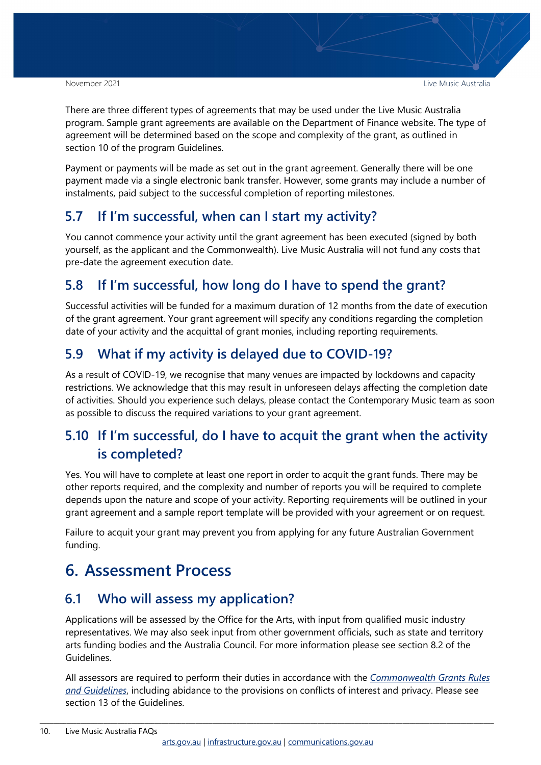There are three different types of agreements that may be used under the Live Music Australia program. Sample grant agreements are available on the Department of Finance website. The type of agreement will be determined based on the scope and complexity of the grant, as outlined in section 10 of the program Guidelines.

Payment or payments will be made as set out in the grant agreement. Generally there will be one payment made via a single electronic bank transfer. However, some grants may include a number of instalments, paid subject to the successful completion of reporting milestones.

#### <span id="page-9-0"></span>**5.7 If I'm successful, when can I start my activity?**

You cannot commence your activity until the grant agreement has been executed (signed by both yourself, as the applicant and the Commonwealth). Live Music Australia will not fund any costs that pre-date the agreement execution date.

### <span id="page-9-1"></span>**5.8 If I'm successful, how long do I have to spend the grant?**

Successful activities will be funded for a maximum duration of 12 months from the date of execution of the grant agreement. Your grant agreement will specify any conditions regarding the completion date of your activity and the acquittal of grant monies, including reporting requirements.

# <span id="page-9-2"></span>**5.9 What if my activity is delayed due to COVID-19?**

As a result of COVID-19, we recognise that many venues are impacted by lockdowns and capacity restrictions. We acknowledge that this may result in unforeseen delays affecting the completion date of activities. Should you experience such delays, please contact the Contemporary Music team as soon as possible to discuss the required variations to your grant agreement.

# <span id="page-9-3"></span>**5.10 If I'm successful, do I have to acquit the grant when the activity is completed?**

Yes. You will have to complete at least one report in order to acquit the grant funds. There may be other reports required, and the complexity and number of reports you will be required to complete depends upon the nature and scope of your activity. Reporting requirements will be outlined in your grant agreement and a sample report template will be provided with your agreement or on request.

Failure to acquit your grant may prevent you from applying for any future Australian Government funding.

# <span id="page-9-4"></span>**6. Assessment Process**

#### <span id="page-9-5"></span>**6.1 Who will assess my application?**

Applications will be assessed by the Office for the Arts, with input from qualified music industry representatives. We may also seek input from other government officials, such as state and territory arts funding bodies and the Australia Council. For more information please see section 8.2 of the Guidelines.

All assessors are required to perform their duties in accordance with the *[Commonwealth Grants Rules](https://www.finance.gov.au/government/commonwealth-grants/commonwealth-grants-rules-guidelines)  [and Guidelines](https://www.finance.gov.au/government/commonwealth-grants/commonwealth-grants-rules-guidelines)*, including abidance to the provisions on conflicts of interest and privacy. Please see section 13 of the Guidelines.